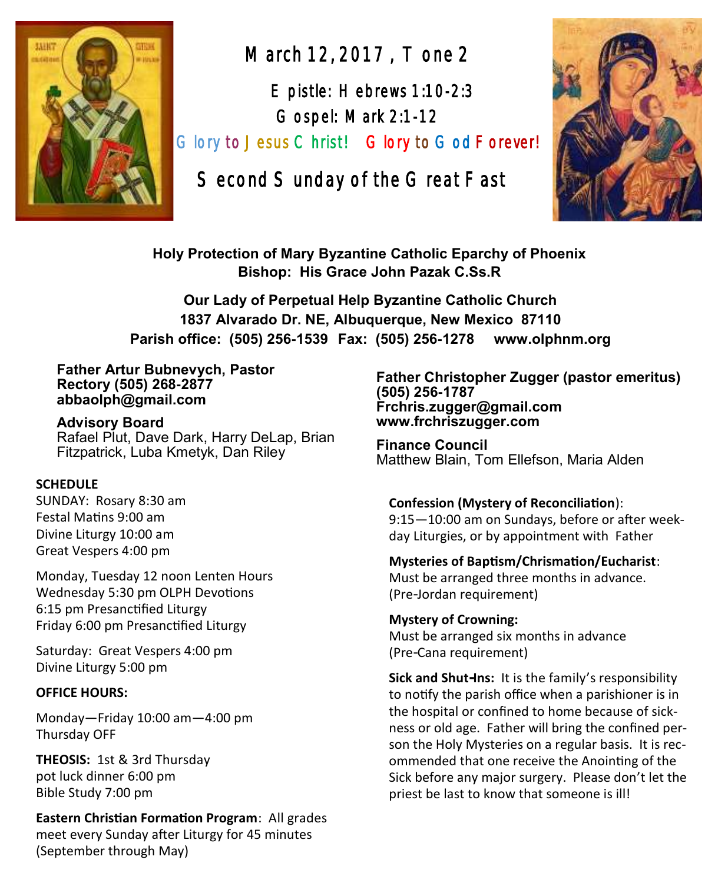

March 12, 2017 , Tone 2

 Epistle: Hebrews 1:10-2:3 Gospel: Mark 2:1-12 Glory to Jesus Christ! Glory to God Forever!

Second Sunday of the Great Fast



**Holy Protection of Mary Byzantine Catholic Eparchy of Phoenix Bishop: His Grace John Pazak C.Ss.R**

**Our Lady of Perpetual Help Byzantine Catholic Church 1837 Alvarado Dr. NE, Albuquerque, New Mexico 87110 Parish office: (505) 256-1539 Fax: (505) 256-1278 www.olphnm.org**

#### **Father Artur Bubnevych, Pastor Rectory (505) 268-2877 abbaolph@gmail.com**

**Advisory Board**  Rafael Plut, Dave Dark, Harry DeLap, Brian Fitzpatrick, Luba Kmetyk, Dan Riley

#### **SCHEDULE**

SUNDAY: Rosary 8:30 am Festal Matins 9:00 am Divine Liturgy 10:00 am Great Vespers 4:00 pm

Monday, Tuesday 12 noon Lenten Hours Wednesday 5:30 pm OLPH Devotions 6:15 pm Presanctified Liturgy Friday 6:00 pm Presanctified Liturgy

Saturday: Great Vespers 4:00 pm Divine Liturgy 5:00 pm

#### **OFFICE HOURS:**

Monday—Friday 10:00 am—4:00 pm Thursday OFF

**THEOSIS:** 1st & 3rd Thursday pot luck dinner 6:00 pm Bible Study 7:00 pm

**Eastern Christian Formation Program**: All grades meet every Sunday after Liturgy for 45 minutes (September through May)

**Father Christopher Zugger (pastor emeritus) (505) 256-1787 Frchris.zugger@gmail.com www.frchriszugger.com** 

**Finance Council**  Matthew Blain, Tom Ellefson, Maria Alden

#### **Confession (Mystery of Reconciliation**):

9:15—10:00 am on Sundays, before or after weekday Liturgies, or by appointment with Father

#### **Mysteries of Baptism/Chrismation/Eucharist**:

Must be arranged three months in advance. (Pre-Jordan requirement)

**Mystery of Crowning:**  Must be arranged six months in advance (Pre-Cana requirement)

**Sick and Shut-Ins:** It is the family's responsibility to notify the parish office when a parishioner is in the hospital or confined to home because of sickness or old age. Father will bring the confined person the Holy Mysteries on a regular basis. It is recommended that one receive the Anointing of the Sick before any major surgery. Please don't let the priest be last to know that someone is ill!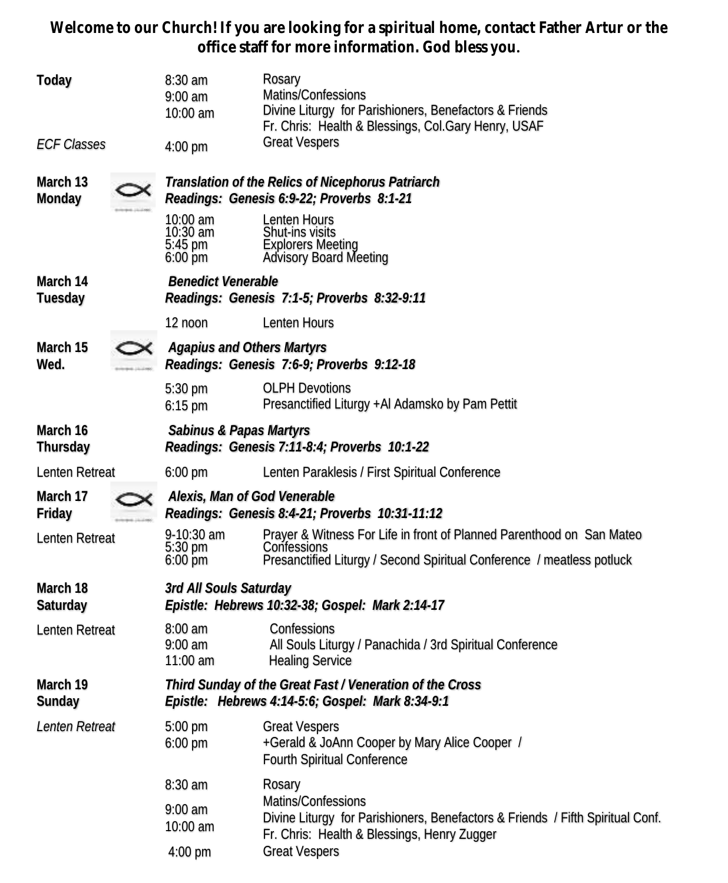**Welcome to our Church! If you are looking for a spiritual home, contact Father Artur or the office staff for more information. God bless you.**

| Today                |  | 8:30 am<br>$9:00$ am<br>10:00 am                                                                             | Rosary<br>Matins/Confessions<br>Divine Liturgy for Parishioners, Benefactors & Friends<br>Fr. Chris: Health & Blessings, Col.Gary Henry, USAF                  |  |  |
|----------------------|--|--------------------------------------------------------------------------------------------------------------|----------------------------------------------------------------------------------------------------------------------------------------------------------------|--|--|
| <b>ECF Classes</b>   |  | $4:00$ pm                                                                                                    | <b>Great Vespers</b>                                                                                                                                           |  |  |
| March 13<br>Monday   |  | Translation of the Relics of Nicephorus Patriarch<br>Readings: Genesis 6:9-22; Proverbs 8:1-21               |                                                                                                                                                                |  |  |
|                      |  | 10:00 am<br>$10:30$ am<br>5:45 pm<br>$6:00$ pm                                                               | Lenten Hours<br>Shut-ins visits<br><b>Explorers Meeting</b><br>Advisory Board Meeting                                                                          |  |  |
| March 14<br>Tuesday  |  | <b>Benedict Venerable</b><br>Readings: Genesis 7:1-5; Proverbs 8:32-9:11                                     |                                                                                                                                                                |  |  |
|                      |  | 12 noon                                                                                                      | Lenten Hours                                                                                                                                                   |  |  |
| March 15<br>Wed.     |  | <b>Agapius and Others Martyrs</b><br>Readings: Genesis 7:6-9; Proverbs 9:12-18                               |                                                                                                                                                                |  |  |
|                      |  | 5:30 pm<br>$6:15$ pm                                                                                         | <b>OLPH Devotions</b><br>Presanctified Liturgy +AI Adamsko by Pam Pettit                                                                                       |  |  |
| March 16<br>Thursday |  | Sabinus & Papas Martyrs<br>Readings: Genesis 7:11-8:4; Proverbs 10:1-22                                      |                                                                                                                                                                |  |  |
| Lenten Retreat       |  | $6:00 \text{ pm}$                                                                                            | Lenten Paraklesis / First Spiritual Conference                                                                                                                 |  |  |
| March 17<br>Friday   |  | Alexis, Man of God Venerable<br>Readings: Genesis 8:4-21; Proverbs 10:31-11:12                               |                                                                                                                                                                |  |  |
| Lenten Retreat       |  | 9-10:30 am<br>5:30 pm<br>$6:00$ pm                                                                           | Prayer & Witness For Life in front of Planned Parenthood on San Mateo<br>Confessions<br>Presanctified Liturgy / Second Spiritual Conference / meatless potluck |  |  |
| March 18<br>Saturday |  | 3rd All Souls Saturday<br>Epistle: Hebrews 10:32-38; Gospel: Mark 2:14-17                                    |                                                                                                                                                                |  |  |
| Lenten Retreat       |  | $8:00$ am<br>$9:00$ am<br>$11:00$ am                                                                         | Confessions<br>All Souls Liturgy / Panachida / 3rd Spiritual Conference<br><b>Healing Service</b>                                                              |  |  |
| March 19<br>Sunday   |  | Third Sunday of the Great Fast / Veneration of the Cross<br>Epistle: Hebrews 4:14-5:6; Gospel: Mark 8:34-9:1 |                                                                                                                                                                |  |  |
| Lenten Retreat       |  | 5:00 pm<br>6:00 pm                                                                                           | <b>Great Vespers</b><br>+Gerald & JoAnn Cooper by Mary Alice Cooper /<br>Fourth Spiritual Conference                                                           |  |  |
|                      |  | 8:30 am                                                                                                      | Rosary                                                                                                                                                         |  |  |
|                      |  | $9:00$ am<br>10:00 am                                                                                        | Matins/Confessions<br>Divine Liturgy for Parishioners, Benefactors & Friends / Fifth Spiritual Conf.<br>Fr. Chris: Health & Blessings, Henry Zugger            |  |  |
|                      |  | 4:00 pm                                                                                                      | <b>Great Vespers</b>                                                                                                                                           |  |  |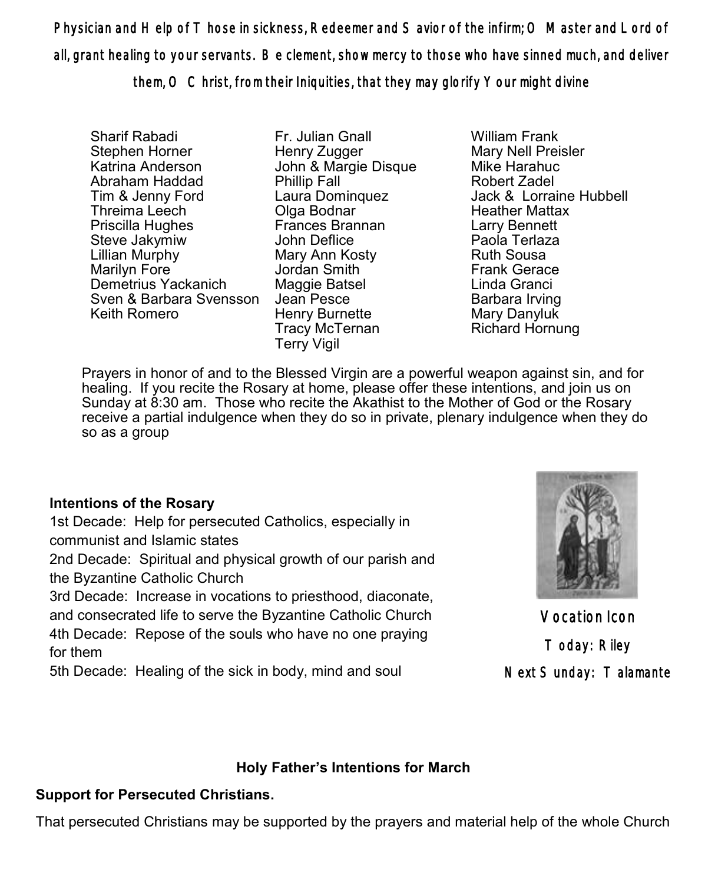Physician and Help of Those in sickness, Redeemer and Savior of the infirm; O Master and Lord of all, grant healing to your servants. Be clement, show mercy to those who have sinned much, and deliver them, O Christ, from their Iniquities, that they may glorify Your might divine

Sharif Rabadi Stephen Horner Katrina Anderson Abraham Haddad Tim & Jenny Ford Threima Leech Priscilla Hughes Steve Jakymiw Lillian Murphy Marilyn Fore Demetrius Yackanich Sven & Barbara Svensson Keith Romero

Fr. Julian Gnall Henry Zugger John & Margie Disque Phillip Fall Laura Dominquez Olga Bodnar Frances Brannan John Deflice Mary Ann Kosty Jordan Smith Maggie Batsel Jean Pesce Henry Burnette Tracy McTernan Terry Vigil

William Frank Mary Nell Preisler Mike Harahuc Robert Zadel Jack & Lorraine Hubbell Heather Mattax Larry Bennett Paola Terlaza Ruth Sousa Frank Gerace Linda Granci Barbara Irving Mary Danyluk Richard Hornung

Prayers in honor of and to the Blessed Virgin are a powerful weapon against sin, and for healing. If you recite the Rosary at home, please offer these intentions, and join us on Sunday at 8:30 am. Those who recite the Akathist to the Mother of God or the Rosary receive a partial indulgence when they do so in private, plenary indulgence when they do so as a group

### **Intentions of the Rosary**

1st Decade: Help for persecuted Catholics, especially in communist and Islamic states

2nd Decade: Spiritual and physical growth of our parish and the Byzantine Catholic Church

3rd Decade: Increase in vocations to priesthood, diaconate, and consecrated life to serve the Byzantine Catholic Church 4th Decade: Repose of the souls who have no one praying for them

5th Decade: Healing of the sick in body, mind and soul



Vocation Icon Today: Riley Next Sunday: Talamante

## **Holy Father's Intentions for March**

## **Support for Persecuted Christians.**

That persecuted Christians may be supported by the prayers and material help of the whole Church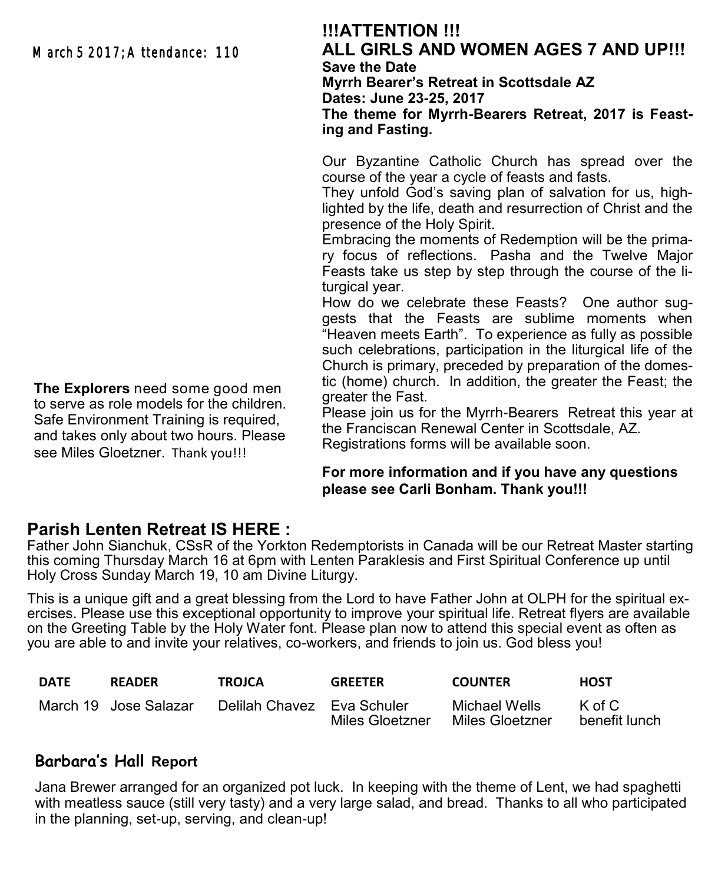March 5 2017: A ttendance: 110

### **!!!ATTENTION !!! ALL GIRLS AND WOMEN AGES 7 AND UP!!! Save the Date Myrrh Bearer's Retreat in Scottsdale AZ Dates: June 23-25, 2017 The theme for Myrrh-Bearers Retreat, 2017 is Feast-**

Our Byzantine Catholic Church has spread over the course of the year a cycle of feasts and fasts.

They unfold God's saving plan of salvation for us, highlighted by the life, death and resurrection of Christ and the presence of the Holy Spirit.

Embracing the moments of Redemption will be the primary focus of reflections. Pasha and the Twelve Major Feasts take us step by step through the course of the liturgical year.

How do we celebrate these Feasts? One author suggests that the Feasts are sublime moments when "Heaven meets Earth". To experience as fully as possible such celebrations, participation in the liturgical life of the Church is primary, preceded by preparation of the domestic (home) church. In addition, the greater the Feast; the greater the Fast.

Please join us for the Myrrh-Bearers Retreat this year at the Franciscan Renewal Center in Scottsdale, AZ. Registrations forms will be available soon.

### **For more information and if you have any questions please see Carli Bonham. Thank you!!!**

## **Parish Lenten Retreat IS HERE :**

Father John Sianchuk, CSsR of the Yorkton Redemptorists in Canada will be our Retreat Master starting this coming Thursday March 16 at 6pm with Lenten Paraklesis and First Spiritual Conference up until Holy Cross Sunday March 19, 10 am Divine Liturgy.

**ing and Fasting.**

This is a unique gift and a great blessing from the Lord to have Father John at OLPH for the spiritual exercises. Please use this exceptional opportunity to improve your spiritual life. Retreat flyers are available on the Greeting Table by the Holy Water font. Please plan now to attend this special event as often as you are able to and invite your relatives, co-workers, and friends to join us. God bless you!

| <b>DATE</b> | <b>READER</b>         | <b>TROJCA</b>              | <b>GREETER</b>  | <b>COUNTER</b>                   | <b>HOST</b>                    |
|-------------|-----------------------|----------------------------|-----------------|----------------------------------|--------------------------------|
|             | March 19 Jose Salazar | Delilah Chavez Eva Schuler | Miles Gloetzner | Michael Wells<br>Miles Gloetzner | $K \circ f C$<br>benefit lunch |

## **Barbara's Hall Report**

Jana Brewer arranged for an organized pot luck. In keeping with the theme of Lent, we had spaghetti with meatless sauce (still very tasty) and a very large salad, and bread. Thanks to all who participated in the planning, set-up, serving, and clean-up!

**The Explorers** need some good men to serve as role models for the children. Safe Environment Training is required, and takes only about two hours. Please see Miles Gloetzner. Thank you!!!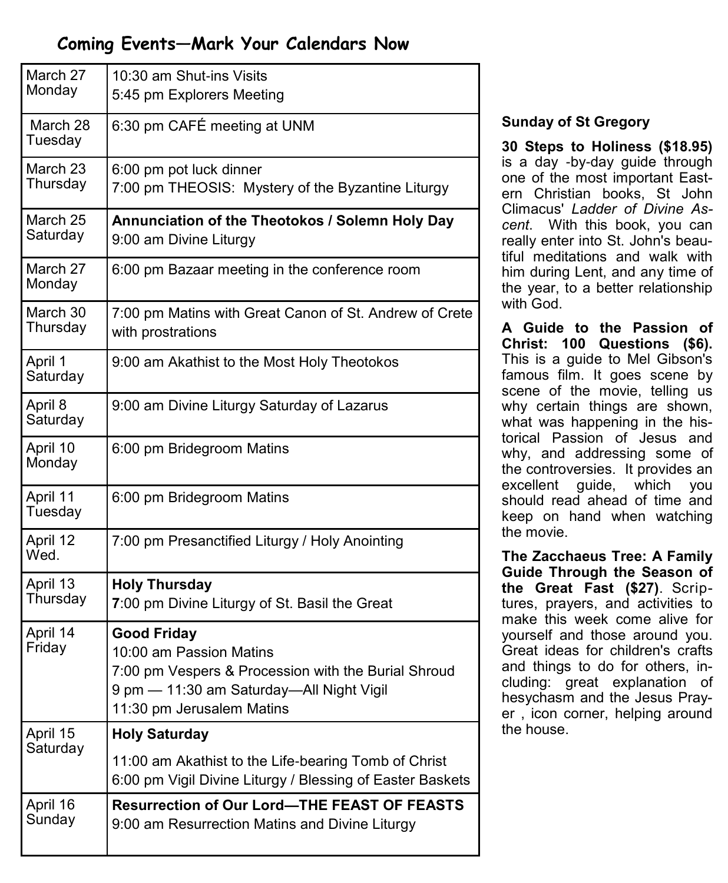## **Coming Events—Mark Your Calendars Now**

| March 27<br>Monday   | 10:30 am Shut-ins Visits<br>5:45 pm Explorers Meeting                                                                                                                          |  |  |  |  |
|----------------------|--------------------------------------------------------------------------------------------------------------------------------------------------------------------------------|--|--|--|--|
| March 28<br>Tuesday  | 6:30 pm CAFÉ meeting at UNM                                                                                                                                                    |  |  |  |  |
| March 23<br>Thursday | 6:00 pm pot luck dinner<br>7:00 pm THEOSIS: Mystery of the Byzantine Liturgy                                                                                                   |  |  |  |  |
| March 25<br>Saturday | Annunciation of the Theotokos / Solemn Holy Day<br>9:00 am Divine Liturgy                                                                                                      |  |  |  |  |
| March 27<br>Monday   | 6:00 pm Bazaar meeting in the conference room                                                                                                                                  |  |  |  |  |
| March 30<br>Thursday | 7:00 pm Matins with Great Canon of St. Andrew of Crete<br>with prostrations                                                                                                    |  |  |  |  |
| April 1<br>Saturday  | 9:00 am Akathist to the Most Holy Theotokos                                                                                                                                    |  |  |  |  |
| April 8<br>Saturday  | 9:00 am Divine Liturgy Saturday of Lazarus                                                                                                                                     |  |  |  |  |
| April 10<br>Monday   | 6:00 pm Bridegroom Matins                                                                                                                                                      |  |  |  |  |
| April 11<br>Tuesday  | 6:00 pm Bridegroom Matins                                                                                                                                                      |  |  |  |  |
| April 12<br>Wed.     | 7:00 pm Presanctified Liturgy / Holy Anointing                                                                                                                                 |  |  |  |  |
| April 13<br>Thursday | <b>Holy Thursday</b><br>7:00 pm Divine Liturgy of St. Basil the Great                                                                                                          |  |  |  |  |
| April 14<br>Friday   | <b>Good Friday</b><br>10:00 am Passion Matins<br>7:00 pm Vespers & Procession with the Burial Shroud<br>9 pm - 11:30 am Saturday--All Night Vigil<br>11:30 pm Jerusalem Matins |  |  |  |  |
| April 15             | <b>Holy Saturday</b>                                                                                                                                                           |  |  |  |  |
| Saturday             | 11:00 am Akathist to the Life-bearing Tomb of Christ<br>6:00 pm Vigil Divine Liturgy / Blessing of Easter Baskets                                                              |  |  |  |  |
| April 16<br>Sunday   | <b>Resurrection of Our Lord-THE FEAST OF FEASTS</b><br>9:00 am Resurrection Matins and Divine Liturgy                                                                          |  |  |  |  |

### **Sunday of St Gregory**

**30 Steps to Holiness (\$18.95)** is a day -by-day guide through one of the most important Eastern Christian books, St John Climacus' *Ladder of Divine Ascent*. With this book, you can really enter into St. John's beautiful meditations and walk with him during Lent, and any time of the year, to a better relationship with God.

**A Guide to the Passion of Christ: 100 Questions (\$6).**  This is a guide to Mel Gibson's famous film. It goes scene by scene of the movie, telling us why certain things are shown, what was happening in the historical Passion of Jesus and why, and addressing some of the controversies. It provides an excellent guide, which you should read ahead of time and keep on hand when watching the movie.

**The Zacchaeus Tree: A Family Guide Through the Season of the Great Fast (\$27)**. Scriptures, prayers, and activities to make this week come alive for yourself and those around you. Great ideas for children's crafts and things to do for others, including: great explanation of hesychasm and the Jesus Prayer , icon corner, helping around the house.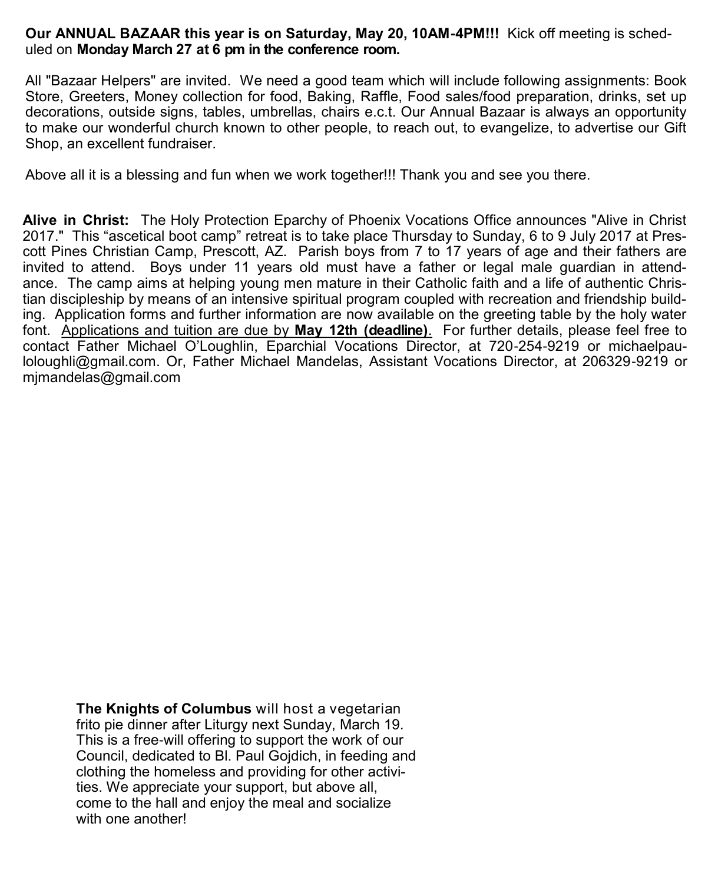#### **Our ANNUAL BAZAAR this year is on Saturday, May 20, 10AM-4PM!!!** Kick off meeting is scheduled on **Monday March 27 at 6 pm in the conference room.**

All "Bazaar Helpers" are invited. We need a good team which will include following assignments: Book Store, Greeters, Money collection for food, Baking, Raffle, Food sales/food preparation, drinks, set up decorations, outside signs, tables, umbrellas, chairs e.c.t. Our Annual Bazaar is always an opportunity to make our wonderful church known to other people, to reach out, to evangelize, to advertise our Gift Shop, an excellent fundraiser.

Above all it is a blessing and fun when we work together!!! Thank you and see you there.

**Alive in Christ:** The Holy Protection Eparchy of Phoenix Vocations Office announces "Alive in Christ 2017." This "ascetical boot camp" retreat is to take place Thursday to Sunday, 6 to 9 July 2017 at Prescott Pines Christian Camp, Prescott, AZ. Parish boys from 7 to 17 years of age and their fathers are invited to attend. Boys under 11 years old must have a father or legal male guardian in attendance. The camp aims at helping young men mature in their Catholic faith and a life of authentic Christian discipleship by means of an intensive spiritual program coupled with recreation and friendship building. Application forms and further information are now available on the greeting table by the holy water font. Applications and tuition are due by **May 12th (deadline)**. For further details, please feel free to contact Father Michael O'Loughlin, Eparchial Vocations Director, at 720-254-[9219 o](tel:%28720%29%20254-9219)r michaelpau[loloughli@gmail.com.](mailto:michaelpauloloughli@gmail.com) Or, Father Michael Mandelas, Assistant Vocations Director, at 206329-9219 or [mjmandelas@gmail.com](mailto:mjmandelas@gmail.com) 

**The Knights of Columbus** will host a vegetarian frito pie dinner after Liturgy next Sunday, March 19. This is a free-will offering to support the work of our Council, dedicated to Bl. Paul Gojdich, in feeding and clothing the homeless and providing for other activities. We appreciate your support, but above all, come to the hall and enjoy the meal and socialize with one another!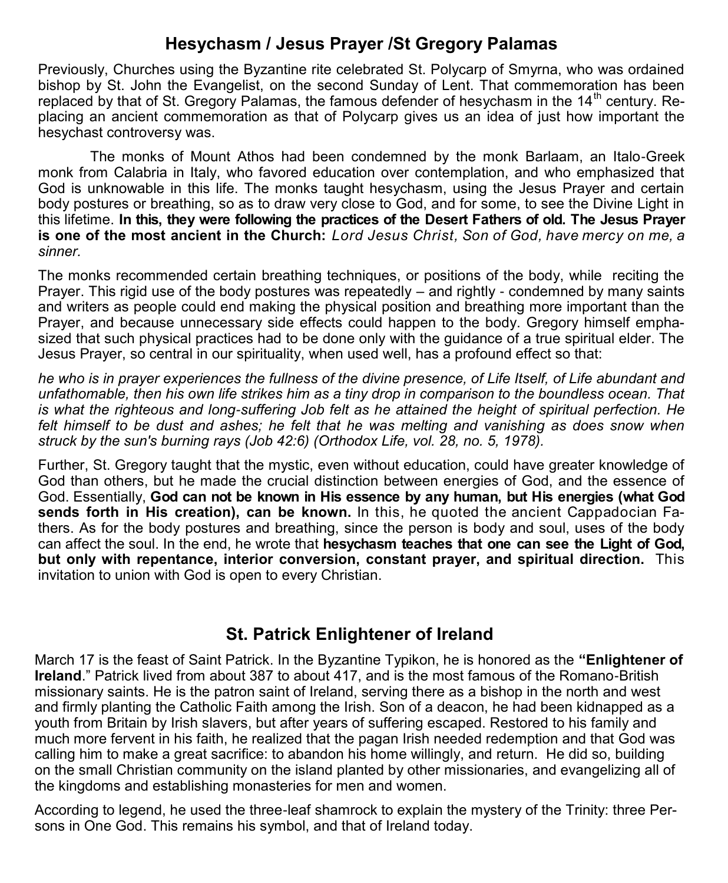## **Hesychasm / Jesus Prayer /St Gregory Palamas**

Previously, Churches using the Byzantine rite celebrated St. Polycarp of Smyrna, who was ordained bishop by St. John the Evangelist, on the second Sunday of Lent. That commemoration has been replaced by that of St. Gregory Palamas, the famous defender of hesychasm in the  $14<sup>th</sup>$  century. Replacing an ancient commemoration as that of Polycarp gives us an idea of just how important the hesychast controversy was.

The monks of Mount Athos had been condemned by the monk Barlaam, an Italo-Greek monk from Calabria in Italy, who favored education over contemplation, and who emphasized that God is unknowable in this life. The monks taught hesychasm, using the Jesus Prayer and certain body postures or breathing, so as to draw very close to God, and for some, to see the Divine Light in this lifetime. **In this, they were following the practices of the Desert Fathers of old. The Jesus Prayer is one of the most ancient in the Church:** *Lord Jesus Christ, Son of God, have mercy on me, a sinner.* 

The monks recommended certain breathing techniques, or positions of the body, while reciting the Prayer. This rigid use of the body postures was repeatedly – and rightly - condemned by many saints and writers as people could end making the physical position and breathing more important than the Prayer, and because unnecessary side effects could happen to the body. Gregory himself emphasized that such physical practices had to be done only with the guidance of a true spiritual elder. The Jesus Prayer, so central in our spirituality, when used well, has a profound effect so that:

*he who is in prayer experiences the fullness of the divine presence, of Life Itself, of Life abundant and unfathomable, then his own life strikes him as a tiny drop in comparison to the boundless ocean. That is what the righteous and long-suffering Job felt as he attained the height of spiritual perfection. He*  felt himself to be dust and ashes; he felt that he was melting and vanishing as does snow when *struck by the sun's burning rays (Job 42:6) (Orthodox Life, vol. 28, no. 5, 1978).*

Further, St. Gregory taught that the mystic, even without education, could have greater knowledge of God than others, but he made the crucial distinction between energies of God, and the essence of God. Essentially, **God can not be known in His essence by any human, but His energies (what God sends forth in His creation), can be known.** In this, he quoted the ancient Cappadocian Fathers. As for the body postures and breathing, since the person is body and soul, uses of the body can affect the soul. In the end, he wrote that **hesychasm teaches that one can see the Light of God, but only with repentance, interior conversion, constant prayer, and spiritual direction.** This invitation to union with God is open to every Christian.

## **St. Patrick Enlightener of Ireland**

March 17 is the feast of Saint Patrick. In the Byzantine Typikon, he is honored as the **"Enlightener of Ireland**." Patrick lived from about 387 to about 417, and is the most famous of the Romano-British missionary saints. He is the patron saint of Ireland, serving there as a bishop in the north and west and firmly planting the Catholic Faith among the Irish. Son of a deacon, he had been kidnapped as a youth from Britain by Irish slavers, but after years of suffering escaped. Restored to his family and much more fervent in his faith, he realized that the pagan Irish needed redemption and that God was calling him to make a great sacrifice: to abandon his home willingly, and return. He did so, building on the small Christian community on the island planted by other missionaries, and evangelizing all of the kingdoms and establishing monasteries for men and women.

According to legend, he used the three-leaf shamrock to explain the mystery of the Trinity: three Persons in One God. This remains his symbol, and that of Ireland today.